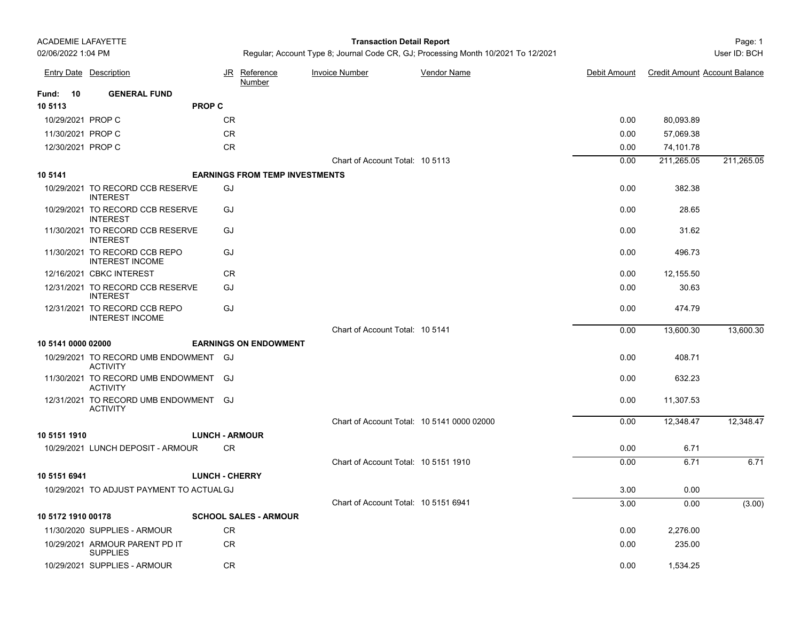#### Page: 1 **Transaction Detail Report**

|                    | <b>Entry Date Description</b>                            | JR                    | Reference<br>Number                   | <b>Invoice Number</b>                      | <b>Vendor Name</b> | Debit Amount | <b>Credit Amount Account Balance</b> |            |
|--------------------|----------------------------------------------------------|-----------------------|---------------------------------------|--------------------------------------------|--------------------|--------------|--------------------------------------|------------|
| <b>Fund: 10</b>    | <b>GENERAL FUND</b>                                      |                       |                                       |                                            |                    |              |                                      |            |
| 10 5113            |                                                          | <b>PROP C</b>         |                                       |                                            |                    |              |                                      |            |
| 10/29/2021 PROP C  |                                                          | CR                    |                                       |                                            |                    | 0.00         | 80,093.89                            |            |
| 11/30/2021 PROP C  |                                                          | ${\sf CR}$            |                                       |                                            |                    | 0.00         | 57,069.38                            |            |
| 12/30/2021 PROP C  |                                                          | CR                    |                                       |                                            |                    | 0.00         | 74,101.78                            |            |
|                    |                                                          |                       |                                       | Chart of Account Total: 10 5113            |                    | 0.00         | 211,265.05                           | 211,265.05 |
| 10 5141            |                                                          |                       | <b>EARNINGS FROM TEMP INVESTMENTS</b> |                                            |                    |              |                                      |            |
|                    | 10/29/2021 TO RECORD CCB RESERVE<br><b>INTEREST</b>      | GJ                    |                                       |                                            |                    | 0.00         | 382.38                               |            |
|                    | 10/29/2021 TO RECORD CCB RESERVE<br><b>INTEREST</b>      | GJ                    |                                       |                                            |                    | 0.00         | 28.65                                |            |
|                    | 11/30/2021 TO RECORD CCB RESERVE<br><b>INTEREST</b>      | GJ                    |                                       |                                            |                    | 0.00         | 31.62                                |            |
|                    | 11/30/2021 TO RECORD CCB REPO<br><b>INTEREST INCOME</b>  | GJ                    |                                       |                                            |                    | 0.00         | 496.73                               |            |
|                    | 12/16/2021 CBKC INTEREST                                 | <b>CR</b>             |                                       |                                            |                    | 0.00         | 12,155.50                            |            |
|                    | 12/31/2021 TO RECORD CCB RESERVE<br><b>INTEREST</b>      | GJ                    |                                       |                                            |                    | 0.00         | 30.63                                |            |
|                    | 12/31/2021 TO RECORD CCB REPO<br><b>INTEREST INCOME</b>  | GJ                    |                                       |                                            |                    | 0.00         | 474.79                               |            |
|                    |                                                          |                       |                                       | Chart of Account Total: 10 5141            |                    | 0.00         | 13,600.30                            | 13,600.30  |
| 10 5141 0000 02000 |                                                          |                       | <b>EARNINGS ON ENDOWMENT</b>          |                                            |                    |              |                                      |            |
|                    | 10/29/2021 TO RECORD UMB ENDOWMENT GJ<br><b>ACTIVITY</b> |                       |                                       |                                            |                    | 0.00         | 408.71                               |            |
|                    | 11/30/2021 TO RECORD UMB ENDOWMENT GJ<br><b>ACTIVITY</b> |                       |                                       |                                            |                    | 0.00         | 632.23                               |            |
|                    | 12/31/2021 TO RECORD UMB ENDOWMENT GJ<br><b>ACTIVITY</b> |                       |                                       |                                            |                    | 0.00         | 11,307.53                            |            |
|                    |                                                          |                       |                                       | Chart of Account Total: 10 5141 0000 02000 |                    | 0.00         | 12,348.47                            | 12,348.47  |
| 10 5151 1910       |                                                          | <b>LUNCH - ARMOUR</b> |                                       |                                            |                    |              |                                      |            |
|                    | 10/29/2021 LUNCH DEPOSIT - ARMOUR                        | CR                    |                                       |                                            |                    | 0.00         | 6.71                                 |            |
|                    |                                                          |                       |                                       | Chart of Account Total: 10 5151 1910       |                    | 0.00         | 6.71                                 | 6.71       |
| 10 5151 6941       |                                                          | <b>LUNCH - CHERRY</b> |                                       |                                            |                    |              |                                      |            |
|                    | 10/29/2021 TO ADJUST PAYMENT TO ACTUAL GJ                |                       |                                       |                                            |                    | 3.00         | 0.00                                 |            |
|                    |                                                          |                       |                                       | Chart of Account Total: 10 5151 6941       |                    | 3.00         | 0.00                                 | (3.00)     |
| 10 5172 1910 00178 |                                                          |                       | <b>SCHOOL SALES - ARMOUR</b>          |                                            |                    |              |                                      |            |
|                    | 11/30/2020 SUPPLIES - ARMOUR                             | CR                    |                                       |                                            |                    | 0.00         | 2,276.00                             |            |
|                    | 10/29/2021 ARMOUR PARENT PD IT<br><b>SUPPLIES</b>        | ${\sf CR}$            |                                       |                                            |                    | 0.00         | 235.00                               |            |
|                    | 10/29/2021 SUPPLIES - ARMOUR                             | CR.                   |                                       |                                            |                    | 0.00         | 1,534.25                             |            |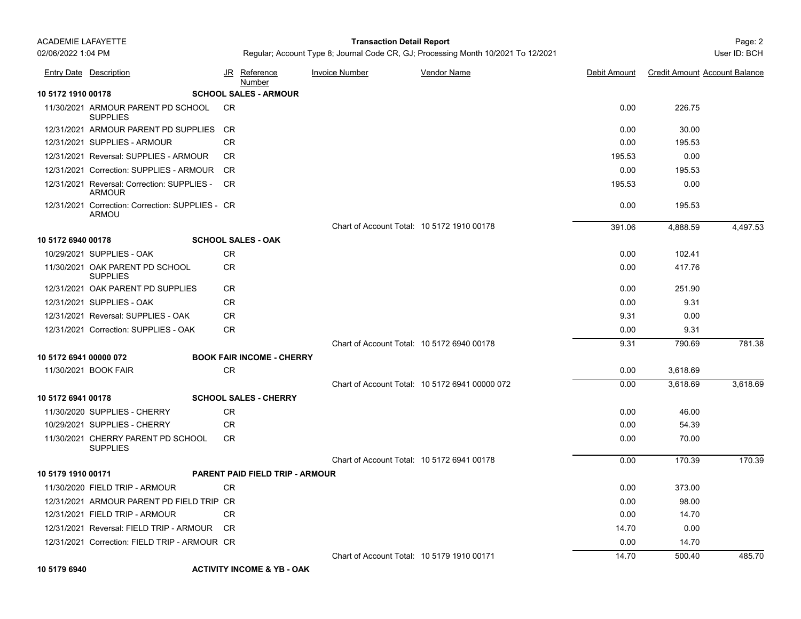# Page: 2 **Transaction Detail Report**

|                        | <b>Entry Date Description</b>                                    | JR        | <u>Reference</u><br>Number             | <b>Invoice Number</b>                      | <b>Vendor Name</b>                             | Debit Amount | <b>Credit Amount Account Balance</b> |          |
|------------------------|------------------------------------------------------------------|-----------|----------------------------------------|--------------------------------------------|------------------------------------------------|--------------|--------------------------------------|----------|
| 10 5172 1910 00178     |                                                                  |           | <b>SCHOOL SALES - ARMOUR</b>           |                                            |                                                |              |                                      |          |
|                        | 11/30/2021 ARMOUR PARENT PD SCHOOL<br><b>SUPPLIES</b>            | CR.       |                                        |                                            |                                                | 0.00         | 226.75                               |          |
|                        | 12/31/2021 ARMOUR PARENT PD SUPPLIES                             | CR        |                                        |                                            |                                                | 0.00         | 30.00                                |          |
|                        | 12/31/2021 SUPPLIES - ARMOUR                                     | CR        |                                        |                                            |                                                | 0.00         | 195.53                               |          |
|                        | 12/31/2021 Reversal: SUPPLIES - ARMOUR                           | CR.       |                                        |                                            |                                                | 195.53       | 0.00                                 |          |
|                        | 12/31/2021 Correction: SUPPLIES - ARMOUR                         | <b>CR</b> |                                        |                                            |                                                | 0.00         | 195.53                               |          |
|                        | 12/31/2021 Reversal: Correction: SUPPLIES -<br><b>ARMOUR</b>     | <b>CR</b> |                                        |                                            |                                                | 195.53       | 0.00                                 |          |
|                        | 12/31/2021 Correction: Correction: SUPPLIES - CR<br><b>ARMOU</b> |           |                                        |                                            |                                                | 0.00         | 195.53                               |          |
|                        |                                                                  |           |                                        | Chart of Account Total: 10 5172 1910 00178 |                                                | 391.06       | 4,888.59                             | 4,497.53 |
| 10 5172 6940 00178     |                                                                  |           | <b>SCHOOL SALES - OAK</b>              |                                            |                                                |              |                                      |          |
|                        | 10/29/2021 SUPPLIES - OAK                                        | <b>CR</b> |                                        |                                            |                                                | 0.00         | 102.41                               |          |
|                        | 11/30/2021 OAK PARENT PD SCHOOL<br><b>SUPPLIES</b>               | <b>CR</b> |                                        |                                            |                                                | 0.00         | 417.76                               |          |
|                        | 12/31/2021 OAK PARENT PD SUPPLIES                                | CR        |                                        |                                            |                                                | 0.00         | 251.90                               |          |
|                        | 12/31/2021 SUPPLIES - OAK                                        | <b>CR</b> |                                        |                                            |                                                | 0.00         | 9.31                                 |          |
|                        | 12/31/2021 Reversal: SUPPLIES - OAK                              | CR.       |                                        |                                            |                                                | 9.31         | 0.00                                 |          |
|                        | 12/31/2021 Correction: SUPPLIES - OAK                            | <b>CR</b> |                                        |                                            |                                                | 0.00         | 9.31                                 |          |
|                        |                                                                  |           |                                        | Chart of Account Total: 10 5172 6940 00178 |                                                | 9.31         | 790.69                               | 781.38   |
| 10 5172 6941 00000 072 |                                                                  |           | <b>BOOK FAIR INCOME - CHERRY</b>       |                                            |                                                |              |                                      |          |
|                        | 11/30/2021 BOOK FAIR                                             | <b>CR</b> |                                        |                                            |                                                | 0.00         | 3,618.69                             |          |
|                        |                                                                  |           |                                        |                                            | Chart of Account Total: 10 5172 6941 00000 072 | 0.00         | 3,618.69                             | 3,618.69 |
| 10 5172 6941 00178     |                                                                  |           | <b>SCHOOL SALES - CHERRY</b>           |                                            |                                                |              |                                      |          |
|                        | 11/30/2020 SUPPLIES - CHERRY                                     | <b>CR</b> |                                        |                                            |                                                | 0.00         | 46.00                                |          |
|                        | 10/29/2021 SUPPLIES - CHERRY                                     | <b>CR</b> |                                        |                                            |                                                | 0.00         | 54.39                                |          |
|                        | 11/30/2021 CHERRY PARENT PD SCHOOL<br><b>SUPPLIES</b>            | <b>CR</b> |                                        |                                            |                                                | 0.00         | 70.00                                |          |
|                        |                                                                  |           |                                        | Chart of Account Total: 10 5172 6941 00178 |                                                | 0.00         | 170.39                               | 170.39   |
| 10 5179 1910 00171     |                                                                  |           | <b>PARENT PAID FIELD TRIP - ARMOUR</b> |                                            |                                                |              |                                      |          |
|                        | 11/30/2020 FIELD TRIP - ARMOUR                                   | <b>CR</b> |                                        |                                            |                                                | 0.00         | 373.00                               |          |
|                        | 12/31/2021 ARMOUR PARENT PD FIELD TRIP CR                        |           |                                        |                                            |                                                | 0.00         | 98.00                                |          |
|                        | 12/31/2021 FIELD TRIP - ARMOUR                                   | <b>CR</b> |                                        |                                            |                                                | 0.00         | 14.70                                |          |
|                        | 12/31/2021 Reversal: FIELD TRIP - ARMOUR                         | CR        |                                        |                                            |                                                | 14.70        | 0.00                                 |          |
|                        | 12/31/2021 Correction: FIELD TRIP - ARMOUR CR                    |           |                                        |                                            |                                                | 0.00         | 14.70                                |          |
|                        |                                                                  |           |                                        | Chart of Account Total: 10 5179 1910 00171 |                                                | 14.70        | 500.40                               | 485.70   |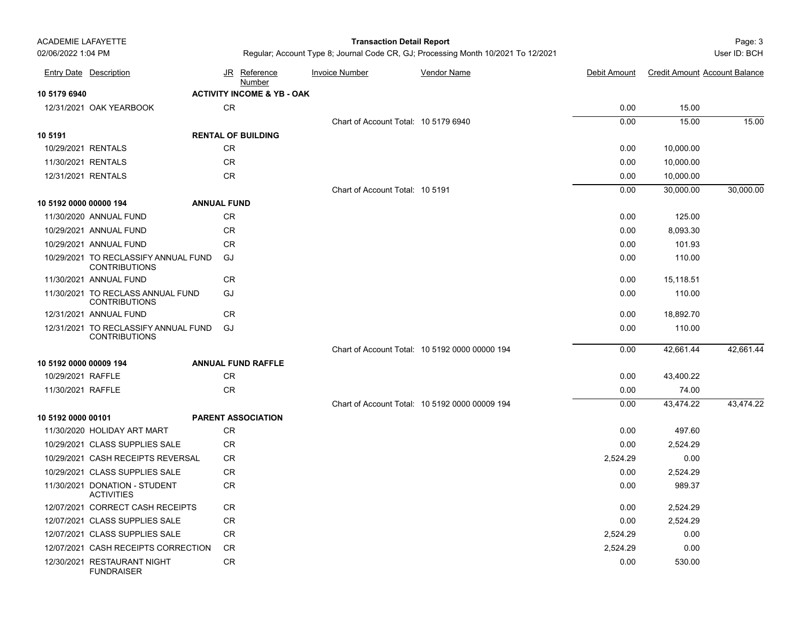# Page: 3 **Transaction Detail Report**

|                        | <b>Entry Date Description</b>                                |                    |           | JR Reference<br><b>Number</b>         | <b>Invoice Number</b>                | <b>Vendor Name</b>                             | Debit Amount | <b>Credit Amount Account Balance</b> |           |
|------------------------|--------------------------------------------------------------|--------------------|-----------|---------------------------------------|--------------------------------------|------------------------------------------------|--------------|--------------------------------------|-----------|
| 10 5179 6940           |                                                              |                    |           | <b>ACTIVITY INCOME &amp; YB - OAK</b> |                                      |                                                |              |                                      |           |
|                        | 12/31/2021 OAK YEARBOOK                                      |                    | <b>CR</b> |                                       |                                      |                                                | 0.00         | 15.00                                |           |
|                        |                                                              |                    |           |                                       | Chart of Account Total: 10 5179 6940 |                                                | 0.00         | 15.00                                | 15.00     |
| 10 5191                |                                                              |                    |           | <b>RENTAL OF BUILDING</b>             |                                      |                                                |              |                                      |           |
| 10/29/2021 RENTALS     |                                                              |                    | CR        |                                       |                                      |                                                | 0.00         | 10,000.00                            |           |
| 11/30/2021 RENTALS     |                                                              |                    | CR        |                                       |                                      |                                                | 0.00         | 10,000.00                            |           |
| 12/31/2021 RENTALS     |                                                              |                    | <b>CR</b> |                                       |                                      |                                                | 0.00         | 10,000.00                            |           |
|                        |                                                              |                    |           |                                       | Chart of Account Total: 10 5191      |                                                | 0.00         | 30,000.00                            | 30,000.00 |
| 10 5192 0000 00000 194 |                                                              | <b>ANNUAL FUND</b> |           |                                       |                                      |                                                |              |                                      |           |
|                        | 11/30/2020 ANNUAL FUND                                       |                    | CR.       |                                       |                                      |                                                | 0.00         | 125.00                               |           |
|                        | 10/29/2021 ANNUAL FUND                                       |                    | CR        |                                       |                                      |                                                | 0.00         | 8,093.30                             |           |
|                        | 10/29/2021 ANNUAL FUND                                       |                    | CR        |                                       |                                      |                                                | 0.00         | 101.93                               |           |
|                        | 10/29/2021 TO RECLASSIFY ANNUAL FUND<br><b>CONTRIBUTIONS</b> |                    | GJ        |                                       |                                      |                                                | 0.00         | 110.00                               |           |
|                        | 11/30/2021 ANNUAL FUND                                       |                    | <b>CR</b> |                                       |                                      |                                                | 0.00         | 15,118.51                            |           |
|                        | 11/30/2021 TO RECLASS ANNUAL FUND<br><b>CONTRIBUTIONS</b>    |                    | GJ        |                                       |                                      |                                                | 0.00         | 110.00                               |           |
|                        | 12/31/2021 ANNUAL FUND                                       |                    | CR        |                                       |                                      |                                                | 0.00         | 18,892.70                            |           |
|                        | 12/31/2021 TO RECLASSIFY ANNUAL FUND<br><b>CONTRIBUTIONS</b> |                    | GJ        |                                       |                                      |                                                | 0.00         | 110.00                               |           |
|                        |                                                              |                    |           |                                       |                                      | Chart of Account Total: 10 5192 0000 00000 194 | 0.00         | 42.661.44                            | 42.661.44 |
| 10 5192 0000 00009 194 |                                                              |                    |           | <b>ANNUAL FUND RAFFLE</b>             |                                      |                                                |              |                                      |           |
| 10/29/2021 RAFFLE      |                                                              |                    | CR        |                                       |                                      |                                                | 0.00         | 43,400.22                            |           |
| 11/30/2021 RAFFLE      |                                                              |                    | <b>CR</b> |                                       |                                      |                                                | 0.00         | 74.00                                |           |
|                        |                                                              |                    |           |                                       |                                      | Chart of Account Total: 10 5192 0000 00009 194 | 0.00         | 43.474.22                            | 43.474.22 |
| 10 5192 0000 00101     |                                                              |                    |           | <b>PARENT ASSOCIATION</b>             |                                      |                                                |              |                                      |           |
|                        | 11/30/2020 HOLIDAY ART MART                                  |                    | CR.       |                                       |                                      |                                                | 0.00         | 497.60                               |           |
|                        | 10/29/2021 CLASS SUPPLIES SALE                               |                    | <b>CR</b> |                                       |                                      |                                                | 0.00         | 2,524.29                             |           |
|                        | 10/29/2021 CASH RECEIPTS REVERSAL                            |                    | CR        |                                       |                                      |                                                | 2,524.29     | 0.00                                 |           |
|                        | 10/29/2021 CLASS SUPPLIES SALE                               |                    | CR        |                                       |                                      |                                                | 0.00         | 2,524.29                             |           |
|                        | 11/30/2021 DONATION - STUDENT<br><b>ACTIVITIES</b>           |                    | CR        |                                       |                                      |                                                | 0.00         | 989.37                               |           |
|                        | 12/07/2021 CORRECT CASH RECEIPTS                             |                    | CR.       |                                       |                                      |                                                | 0.00         | 2,524.29                             |           |
|                        | 12/07/2021 CLASS SUPPLIES SALE                               |                    | <b>CR</b> |                                       |                                      |                                                | 0.00         | 2,524.29                             |           |
|                        | 12/07/2021 CLASS SUPPLIES SALE                               |                    | CR        |                                       |                                      |                                                | 2,524.29     | 0.00                                 |           |
|                        | 12/07/2021 CASH RECEIPTS CORRECTION                          |                    | <b>CR</b> |                                       |                                      |                                                | 2,524.29     | 0.00                                 |           |
|                        | 12/30/2021 RESTAURANT NIGHT<br><b>FUNDRAISER</b>             |                    | <b>CR</b> |                                       |                                      |                                                | 0.00         | 530.00                               |           |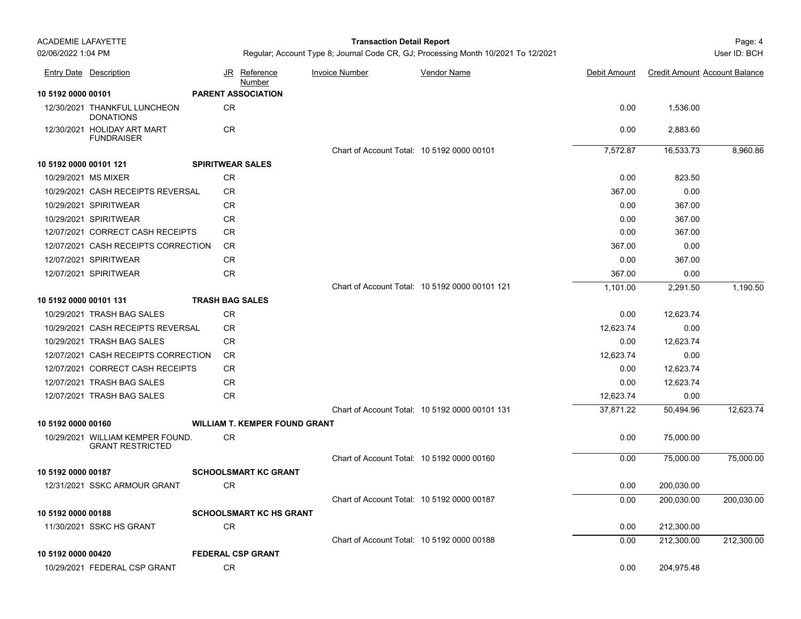## Page: 4 **Transaction Detail Report**

|                        | <b>Entry Date Description</b>                               |                         | JR Reference<br><b>Number</b>        | <b>Invoice Number</b> | <b>Vendor Name</b>                             | Debit Amount | <b>Credit Amount Account Balance</b> |            |
|------------------------|-------------------------------------------------------------|-------------------------|--------------------------------------|-----------------------|------------------------------------------------|--------------|--------------------------------------|------------|
| 10 5192 0000 00101     |                                                             |                         | <b>PARENT ASSOCIATION</b>            |                       |                                                |              |                                      |            |
|                        | 12/30/2021 THANKFUL LUNCHEON<br><b>DONATIONS</b>            | CR                      |                                      |                       |                                                | 0.00         | 1,536.00                             |            |
|                        | 12/30/2021 HOLIDAY ART MART<br><b>FUNDRAISER</b>            | CR                      |                                      |                       |                                                | 0.00         | 2,883.60                             |            |
|                        |                                                             |                         |                                      |                       | Chart of Account Total: 10 5192 0000 00101     | 7,572.87     | 16,533.73                            | 8,960.86   |
| 10 5192 0000 00101 121 |                                                             | <b>SPIRITWEAR SALES</b> |                                      |                       |                                                |              |                                      |            |
|                        | 10/29/2021 MS MIXER                                         | CR                      |                                      |                       |                                                | 0.00         | 823.50                               |            |
|                        | 10/29/2021 CASH RECEIPTS REVERSAL                           | <b>CR</b>               |                                      |                       |                                                | 367.00       | 0.00                                 |            |
|                        | 10/29/2021 SPIRITWEAR                                       | <b>CR</b>               |                                      |                       |                                                | 0.00         | 367.00                               |            |
|                        | 10/29/2021 SPIRITWEAR                                       | <b>CR</b>               |                                      |                       |                                                | 0.00         | 367.00                               |            |
|                        | 12/07/2021 CORRECT CASH RECEIPTS                            | <b>CR</b>               |                                      |                       |                                                | 0.00         | 367.00                               |            |
|                        | 12/07/2021 CASH RECEIPTS CORRECTION                         | <b>CR</b>               |                                      |                       |                                                | 367.00       | 0.00                                 |            |
|                        | 12/07/2021 SPIRITWEAR                                       | CR                      |                                      |                       |                                                | 0.00         | 367.00                               |            |
|                        | 12/07/2021 SPIRITWEAR                                       | ${\sf CR}$              |                                      |                       |                                                | 367.00       | 0.00                                 |            |
|                        |                                                             |                         |                                      |                       | Chart of Account Total: 10 5192 0000 00101 121 | 1,101.00     | 2,291.50                             | 1,190.50   |
| 10 5192 0000 00101 131 |                                                             | <b>TRASH BAG SALES</b>  |                                      |                       |                                                |              |                                      |            |
|                        | 10/29/2021 TRASH BAG SALES                                  | CR                      |                                      |                       |                                                | 0.00         | 12,623.74                            |            |
|                        | 10/29/2021 CASH RECEIPTS REVERSAL                           | CR.                     |                                      |                       |                                                | 12,623.74    | 0.00                                 |            |
|                        | 10/29/2021 TRASH BAG SALES                                  | CR                      |                                      |                       |                                                | 0.00         | 12,623.74                            |            |
|                        | 12/07/2021 CASH RECEIPTS CORRECTION                         | <b>CR</b>               |                                      |                       |                                                | 12,623.74    | 0.00                                 |            |
|                        | 12/07/2021 CORRECT CASH RECEIPTS                            | CR                      |                                      |                       |                                                | 0.00         | 12,623.74                            |            |
|                        | 12/07/2021 TRASH BAG SALES                                  | ${\sf CR}$              |                                      |                       |                                                | 0.00         | 12,623.74                            |            |
|                        | 12/07/2021 TRASH BAG SALES                                  | CR                      |                                      |                       |                                                | 12,623.74    | 0.00                                 |            |
|                        |                                                             |                         |                                      |                       | Chart of Account Total: 10 5192 0000 00101 131 | 37,871.22    | 50,494.96                            | 12,623.74  |
| 10 5192 0000 00160     |                                                             |                         | <b>WILLIAM T. KEMPER FOUND GRANT</b> |                       |                                                |              |                                      |            |
|                        | 10/29/2021 WILLIAM KEMPER FOUND.<br><b>GRANT RESTRICTED</b> | <b>CR</b>               |                                      |                       |                                                | 0.00         | 75,000.00                            |            |
|                        |                                                             |                         |                                      |                       | Chart of Account Total: 10 5192 0000 00160     | 0.00         | 75,000.00                            | 75,000.00  |
| 10 5192 0000 00187     |                                                             |                         | <b>SCHOOLSMART KC GRANT</b>          |                       |                                                |              |                                      |            |
|                        | 12/31/2021 SSKC ARMOUR GRANT                                | CR                      |                                      |                       |                                                | 0.00         | 200,030.00                           |            |
|                        |                                                             |                         |                                      |                       | Chart of Account Total: 10 5192 0000 00187     | 0.00         | 200,030.00                           | 200,030.00 |
| 10 5192 0000 00188     |                                                             |                         | <b>SCHOOLSMART KC HS GRANT</b>       |                       |                                                |              |                                      |            |
|                        | 11/30/2021 SSKC HS GRANT                                    | CR                      |                                      |                       |                                                | 0.00         | 212,300.00                           |            |
|                        |                                                             |                         |                                      |                       | Chart of Account Total: 10 5192 0000 00188     | 0.00         | 212,300.00                           | 212,300.00 |
| 10 5192 0000 00420     |                                                             |                         | <b>FEDERAL CSP GRANT</b>             |                       |                                                |              |                                      |            |
|                        | 10/29/2021 FEDERAL CSP GRANT                                | CR                      |                                      |                       |                                                | 0.00         | 204,975.48                           |            |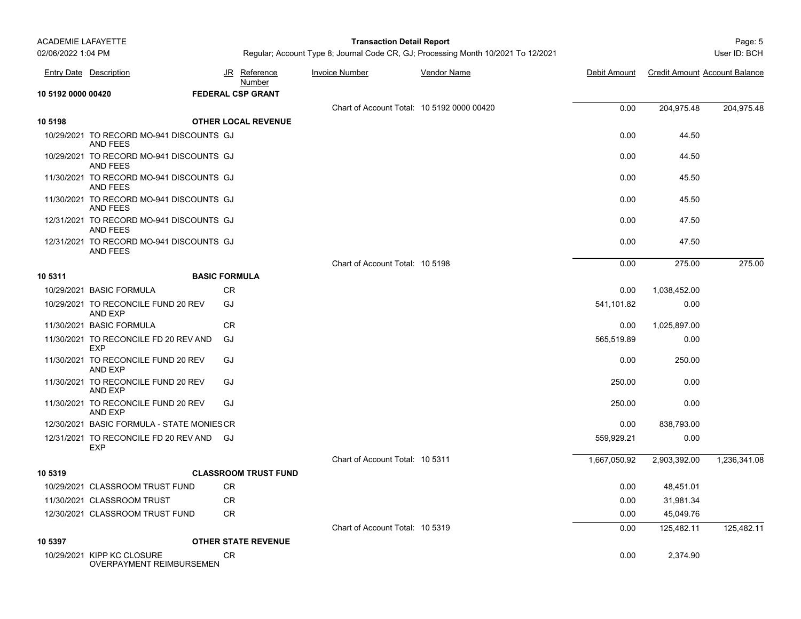| <b>ACADEMIE LAFAYETTE</b> |                                                             |                      |                             | <b>Transaction Detail Report</b>           |                                                                                   |              |                                      | Page: 5      |
|---------------------------|-------------------------------------------------------------|----------------------|-----------------------------|--------------------------------------------|-----------------------------------------------------------------------------------|--------------|--------------------------------------|--------------|
| 02/06/2022 1:04 PM        |                                                             |                      |                             |                                            | Regular; Account Type 8; Journal Code CR, GJ; Processing Month 10/2021 To 12/2021 |              |                                      | User ID: BCH |
|                           | <b>Entry Date Description</b>                               |                      | JR Reference<br>Number      | <b>Invoice Number</b>                      | <b>Vendor Name</b>                                                                | Debit Amount | <b>Credit Amount Account Balance</b> |              |
| 10 5192 0000 00420        |                                                             |                      | <b>FEDERAL CSP GRANT</b>    |                                            |                                                                                   |              |                                      |              |
|                           |                                                             |                      |                             | Chart of Account Total: 10 5192 0000 00420 |                                                                                   | 0.00         | 204,975.48                           | 204,975.48   |
| 10 5198                   |                                                             |                      | <b>OTHER LOCAL REVENUE</b>  |                                            |                                                                                   |              |                                      |              |
|                           | 10/29/2021 TO RECORD MO-941 DISCOUNTS GJ<br>AND FEES        |                      |                             |                                            |                                                                                   | 0.00         | 44.50                                |              |
|                           | 10/29/2021 TO RECORD MO-941 DISCOUNTS GJ<br>AND FEES        |                      |                             |                                            |                                                                                   | 0.00         | 44.50                                |              |
|                           | 11/30/2021 TO RECORD MO-941 DISCOUNTS GJ<br><b>AND FEES</b> |                      |                             |                                            |                                                                                   | 0.00         | 45.50                                |              |
|                           | 11/30/2021 TO RECORD MO-941 DISCOUNTS GJ<br><b>AND FEES</b> |                      |                             |                                            |                                                                                   | 0.00         | 45.50                                |              |
|                           | 12/31/2021 TO RECORD MO-941 DISCOUNTS GJ<br><b>AND FEES</b> |                      |                             |                                            |                                                                                   | 0.00         | 47.50                                |              |
|                           | 12/31/2021 TO RECORD MO-941 DISCOUNTS GJ<br>AND FEES        |                      |                             |                                            |                                                                                   | 0.00         | 47.50                                |              |
|                           |                                                             |                      |                             | Chart of Account Total: 10 5198            |                                                                                   | 0.00         | 275.00                               | 275.00       |
| 10 5311                   |                                                             | <b>BASIC FORMULA</b> |                             |                                            |                                                                                   |              |                                      |              |
|                           | 10/29/2021 BASIC FORMULA                                    | <b>CR</b>            |                             |                                            |                                                                                   | 0.00         | 1,038,452.00                         |              |
|                           | 10/29/2021 TO RECONCILE FUND 20 REV<br><b>AND EXP</b>       | GJ                   |                             |                                            |                                                                                   | 541,101.82   | 0.00                                 |              |
|                           | 11/30/2021 BASIC FORMULA                                    | <b>CR</b>            |                             |                                            |                                                                                   | 0.00         | 1,025,897.00                         |              |
|                           | 11/30/2021 TO RECONCILE FD 20 REV AND<br><b>EXP</b>         | GJ                   |                             |                                            |                                                                                   | 565,519.89   | 0.00                                 |              |
|                           | 11/30/2021 TO RECONCILE FUND 20 REV<br>AND EXP              | GJ                   |                             |                                            |                                                                                   | 0.00         | 250.00                               |              |
|                           | 11/30/2021 TO RECONCILE FUND 20 REV<br><b>AND EXP</b>       | GJ                   |                             |                                            |                                                                                   | 250.00       | 0.00                                 |              |
|                           | 11/30/2021 TO RECONCILE FUND 20 REV<br><b>AND EXP</b>       | GJ                   |                             |                                            |                                                                                   | 250.00       | 0.00                                 |              |
|                           | 12/30/2021 BASIC FORMULA - STATE MONIESCR                   |                      |                             |                                            |                                                                                   | 0.00         | 838,793.00                           |              |
|                           | 12/31/2021 TO RECONCILE FD 20 REV AND<br><b>EXP</b>         | GJ                   |                             |                                            |                                                                                   | 559,929.21   | 0.00                                 |              |
|                           |                                                             |                      |                             | Chart of Account Total: 10 5311            |                                                                                   | 1,667,050.92 | 2,903,392.00                         | 1,236,341.08 |
| 10 5319                   |                                                             |                      | <b>CLASSROOM TRUST FUND</b> |                                            |                                                                                   |              |                                      |              |
|                           | 10/29/2021 CLASSROOM TRUST FUND                             | CR                   |                             |                                            |                                                                                   | 0.00         | 48,451.01                            |              |
|                           | 11/30/2021 CLASSROOM TRUST                                  | CR                   |                             |                                            |                                                                                   | 0.00         | 31,981.34                            |              |
|                           | 12/30/2021 CLASSROOM TRUST FUND                             | CR                   |                             |                                            |                                                                                   | 0.00         | 45,049.76                            |              |
|                           |                                                             |                      |                             | Chart of Account Total: 10 5319            |                                                                                   | 0.00         | 125,482.11                           | 125,482.11   |
| 10 5397                   |                                                             |                      | <b>OTHER STATE REVENUE</b>  |                                            |                                                                                   |              |                                      |              |
|                           | 10/29/2021 KIPP KC CLOSURE<br>OVERPAYMENT REIMBURSEMEN      | CR.                  |                             |                                            |                                                                                   | 0.00         | 2,374.90                             |              |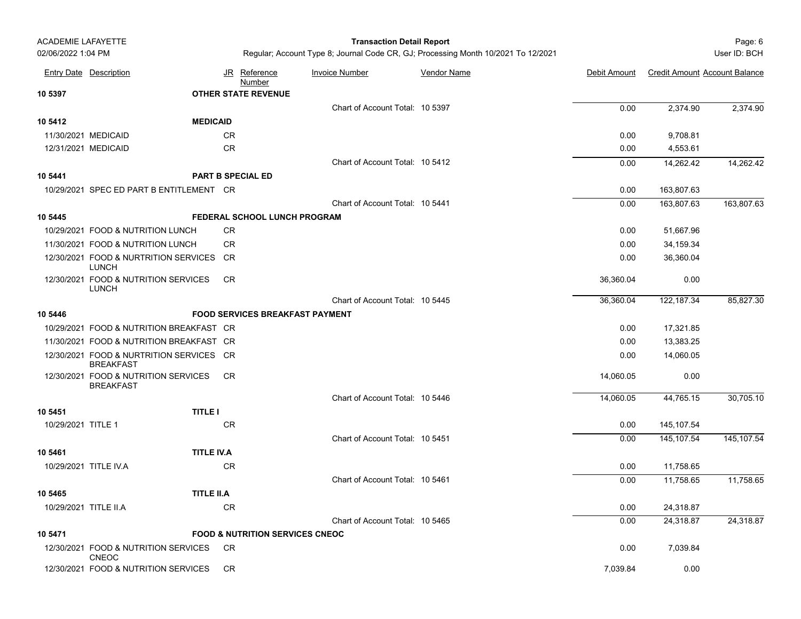### Page: 6 **Transaction Detail Report**

|                       | <b>Entry Date Description</b>                                | JR        | <u>Reference</u><br>Number                 | <b>Invoice Number</b>           | Vendor Name | Debit Amount | <b>Credit Amount Account Balance</b> |            |
|-----------------------|--------------------------------------------------------------|-----------|--------------------------------------------|---------------------------------|-------------|--------------|--------------------------------------|------------|
| 10 5397               |                                                              |           | <b>OTHER STATE REVENUE</b>                 |                                 |             |              |                                      |            |
|                       |                                                              |           |                                            | Chart of Account Total: 10 5397 |             | 0.00         | 2,374.90                             | 2,374.90   |
| 10 5412               | <b>MEDICAID</b>                                              |           |                                            |                                 |             |              |                                      |            |
|                       | 11/30/2021 MEDICAID                                          | CR        |                                            |                                 |             | 0.00         | 9,708.81                             |            |
|                       | 12/31/2021 MEDICAID                                          | CR        |                                            |                                 |             | 0.00         | 4,553.61                             |            |
|                       |                                                              |           |                                            | Chart of Account Total: 10 5412 |             | 0.00         | 14,262.42                            | 14,262.42  |
| 10 5441               |                                                              |           | <b>PART B SPECIAL ED</b>                   |                                 |             |              |                                      |            |
|                       | 10/29/2021 SPEC ED PART B ENTITLEMENT CR                     |           |                                            |                                 |             | 0.00         | 163,807.63                           |            |
|                       |                                                              |           |                                            | Chart of Account Total: 10 5441 |             | 0.00         | 163,807.63                           | 163,807.63 |
| 10 5445               |                                                              |           | FEDERAL SCHOOL LUNCH PROGRAM               |                                 |             |              |                                      |            |
|                       | 10/29/2021 FOOD & NUTRITION LUNCH                            | <b>CR</b> |                                            |                                 |             | 0.00         | 51,667.96                            |            |
|                       | 11/30/2021 FOOD & NUTRITION LUNCH                            | <b>CR</b> |                                            |                                 |             | 0.00         | 34,159.34                            |            |
|                       | 12/30/2021 FOOD & NURTRITION SERVICES CR<br><b>LUNCH</b>     |           |                                            |                                 |             | 0.00         | 36,360.04                            |            |
|                       | 12/30/2021 FOOD & NUTRITION SERVICES<br><b>LUNCH</b>         | <b>CR</b> |                                            |                                 |             | 36,360.04    | 0.00                                 |            |
|                       |                                                              |           |                                            | Chart of Account Total: 10 5445 |             | 36,360.04    | 122,187.34                           | 85,827.30  |
| 10 5446               |                                                              |           | <b>FOOD SERVICES BREAKFAST PAYMENT</b>     |                                 |             |              |                                      |            |
|                       | 10/29/2021 FOOD & NUTRITION BREAKFAST CR                     |           |                                            |                                 |             | 0.00         | 17,321.85                            |            |
|                       | 11/30/2021 FOOD & NUTRITION BREAKFAST CR                     |           |                                            |                                 |             | 0.00         | 13,383.25                            |            |
|                       | 12/30/2021 FOOD & NURTRITION SERVICES CR<br><b>BREAKFAST</b> |           |                                            |                                 |             | 0.00         | 14,060.05                            |            |
|                       | 12/30/2021 FOOD & NUTRITION SERVICES<br><b>BREAKFAST</b>     | CR.       |                                            |                                 |             | 14,060.05    | 0.00                                 |            |
|                       |                                                              |           |                                            | Chart of Account Total: 10 5446 |             | 14,060.05    | 44.765.15                            | 30,705.10  |
| 10 5451               | <b>TITLE I</b>                                               |           |                                            |                                 |             |              |                                      |            |
| 10/29/2021 TITLE 1    |                                                              | <b>CR</b> |                                            |                                 |             | 0.00         | 145,107.54                           |            |
|                       |                                                              |           |                                            | Chart of Account Total: 10 5451 |             | 0.00         | 145,107.54                           | 145,107.54 |
| 10 5461               | <b>TITLE IV.A</b>                                            |           |                                            |                                 |             |              |                                      |            |
|                       | 10/29/2021 TITLE IV.A                                        | <b>CR</b> |                                            |                                 |             | 0.00         | 11,758.65                            |            |
|                       |                                                              |           |                                            | Chart of Account Total: 10 5461 |             | 0.00         | 11,758.65                            | 11,758.65  |
| 10 5465               | <b>TITLE II.A</b>                                            |           |                                            |                                 |             |              |                                      |            |
| 10/29/2021 TITLE II.A |                                                              | <b>CR</b> |                                            |                                 |             | 0.00         | 24,318.87                            |            |
|                       |                                                              |           |                                            | Chart of Account Total: 10 5465 |             | 0.00         | 24,318.87                            | 24.318.87  |
| 10 5471               |                                                              |           | <b>FOOD &amp; NUTRITION SERVICES CNEOC</b> |                                 |             |              |                                      |            |
|                       | 12/30/2021 FOOD & NUTRITION SERVICES<br><b>CNEOC</b>         | CR        |                                            |                                 |             | 0.00         | 7,039.84                             |            |
|                       | 12/30/2021 FOOD & NUTRITION SERVICES                         | <b>CR</b> |                                            |                                 |             | 7,039.84     | 0.00                                 |            |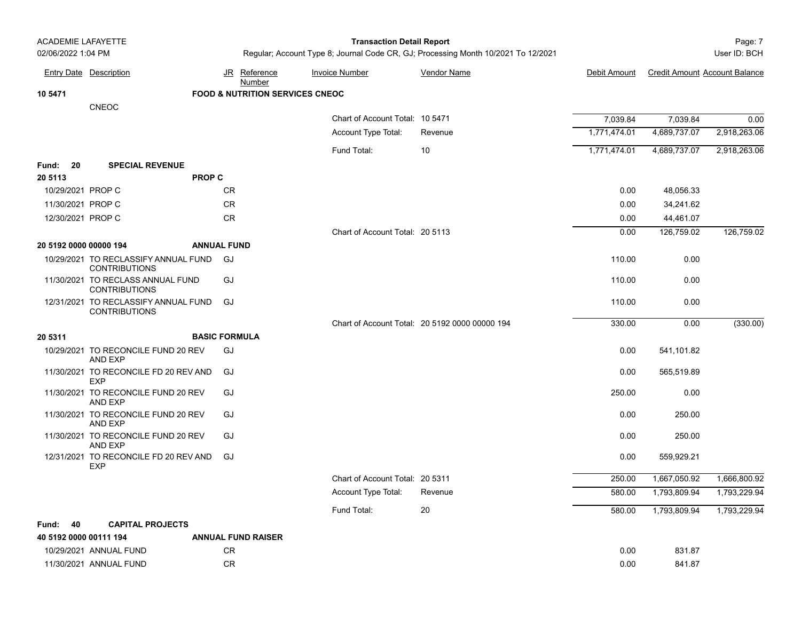### Page: 7 **Transaction Detail Report**

|                        | <b>Entry Date Description</b>                                |               | JR Reference<br>Number                     | <b>Invoice Number</b>           | <b>Vendor Name</b>                             | Debit Amount | <b>Credit Amount Account Balance</b> |              |
|------------------------|--------------------------------------------------------------|---------------|--------------------------------------------|---------------------------------|------------------------------------------------|--------------|--------------------------------------|--------------|
| 10 5471                |                                                              |               | <b>FOOD &amp; NUTRITION SERVICES CNEOC</b> |                                 |                                                |              |                                      |              |
|                        | <b>CNEOC</b>                                                 |               |                                            |                                 |                                                |              |                                      |              |
|                        |                                                              |               |                                            | Chart of Account Total: 10 5471 |                                                | 7,039.84     | 7,039.84                             | 0.00         |
|                        |                                                              |               |                                            | Account Type Total:             | Revenue                                        | 1,771,474.01 | 4,689,737.07                         | 2,918,263.06 |
|                        |                                                              |               |                                            | Fund Total:                     | 10                                             | 1,771,474.01 | 4,689,737.07                         | 2,918,263.06 |
| 20<br>Fund:            | <b>SPECIAL REVENUE</b>                                       |               |                                            |                                 |                                                |              |                                      |              |
| 20 5113                |                                                              | <b>PROP C</b> |                                            |                                 |                                                |              |                                      |              |
| 10/29/2021 PROP C      |                                                              |               | CR.                                        |                                 |                                                | 0.00         | 48,056.33                            |              |
| 11/30/2021 PROP C      |                                                              |               | ${\sf CR}$                                 |                                 |                                                | 0.00         | 34,241.62                            |              |
| 12/30/2021 PROP C      |                                                              |               | ${\sf CR}$                                 |                                 |                                                | 0.00         | 44,461.07                            |              |
|                        |                                                              |               |                                            | Chart of Account Total: 20 5113 |                                                | 0.00         | 126,759.02                           | 126,759.02   |
| 20 5192 0000 00000 194 |                                                              |               | <b>ANNUAL FUND</b>                         |                                 |                                                |              |                                      |              |
|                        | 10/29/2021 TO RECLASSIFY ANNUAL FUND<br><b>CONTRIBUTIONS</b> |               | GJ                                         |                                 |                                                | 110.00       | 0.00                                 |              |
|                        | 11/30/2021 TO RECLASS ANNUAL FUND<br><b>CONTRIBUTIONS</b>    |               | GJ                                         |                                 |                                                | 110.00       | 0.00                                 |              |
|                        | 12/31/2021 TO RECLASSIFY ANNUAL FUND<br><b>CONTRIBUTIONS</b> |               | GJ                                         |                                 |                                                | 110.00       | 0.00                                 |              |
|                        |                                                              |               |                                            |                                 | Chart of Account Total: 20 5192 0000 00000 194 | 330.00       | 0.00                                 | (330.00)     |
| 20 5311                |                                                              |               | <b>BASIC FORMULA</b>                       |                                 |                                                |              |                                      |              |
|                        | 10/29/2021 TO RECONCILE FUND 20 REV<br>AND EXP               |               | GJ                                         |                                 |                                                | 0.00         | 541,101.82                           |              |
|                        | 11/30/2021 TO RECONCILE FD 20 REV AND<br><b>EXP</b>          |               | GJ                                         |                                 |                                                | 0.00         | 565,519.89                           |              |
|                        | 11/30/2021 TO RECONCILE FUND 20 REV<br>AND EXP               |               | GJ                                         |                                 |                                                | 250.00       | 0.00                                 |              |
|                        | 11/30/2021 TO RECONCILE FUND 20 REV<br><b>AND EXP</b>        |               | GJ                                         |                                 |                                                | 0.00         | 250.00                               |              |
|                        | 11/30/2021 TO RECONCILE FUND 20 REV<br>AND EXP               |               | GJ                                         |                                 |                                                | 0.00         | 250.00                               |              |
|                        | 12/31/2021 TO RECONCILE FD 20 REV AND<br><b>EXP</b>          |               | GJ                                         |                                 |                                                | 0.00         | 559,929.21                           |              |
|                        |                                                              |               |                                            | Chart of Account Total: 20 5311 |                                                | 250.00       | 1,667,050.92                         | 1,666,800.92 |
|                        |                                                              |               |                                            | Account Type Total:             | Revenue                                        | 580.00       | 1,793,809.94                         | 1,793,229.94 |
|                        |                                                              |               |                                            | Fund Total:                     | 20                                             | 580.00       | 1,793,809.94                         | 1,793,229.94 |
| 40<br>Fund:            | <b>CAPITAL PROJECTS</b>                                      |               |                                            |                                 |                                                |              |                                      |              |
| 40 5192 0000 00111 194 |                                                              |               | <b>ANNUAL FUND RAISER</b>                  |                                 |                                                |              |                                      |              |
|                        | 10/29/2021 ANNUAL FUND                                       |               | CR                                         |                                 |                                                | 0.00         | 831.87                               |              |
|                        | 11/30/2021 ANNUAL FUND                                       |               | CR.                                        |                                 |                                                | 0.00         | 841.87                               |              |